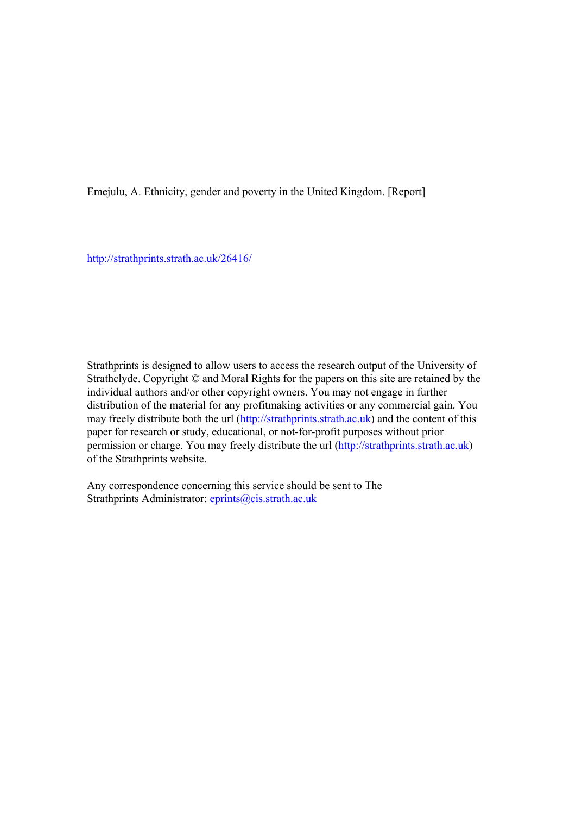Emejulu, A. Ethnicity, gender and poverty in the United Kingdom. [Report]

[http://strathprints.strath.ac.uk/](http://strathprints.strath.ac.uk/26416/)26416/

Strathprints is designed to allow users to access the research output of the University of Strathclyde. Copyright © and Moral Rights for the papers on this site are retained by the individual authors and/or other copyright owners. You may not engage in further distribution of the material for any profitmaking activities or any commercial gain. You may freely distribute both the url [\(http://strathprints.strath.ac.uk\)](https://nemo.strath.ac.uk/exchweb/bin/redir.asp?URL=http://eprints.cdlr.strath.ac.uk) and the content of this paper for research or study, educational, or not-for-profit purposes without prior permission or charge. You may freely distribute the url (http://strathprints.strath.ac.uk) of the Strathprints website.

Any correspondence concerning this service should be sent to The Strathprints Administrator: eprints@cis.strath.ac.uk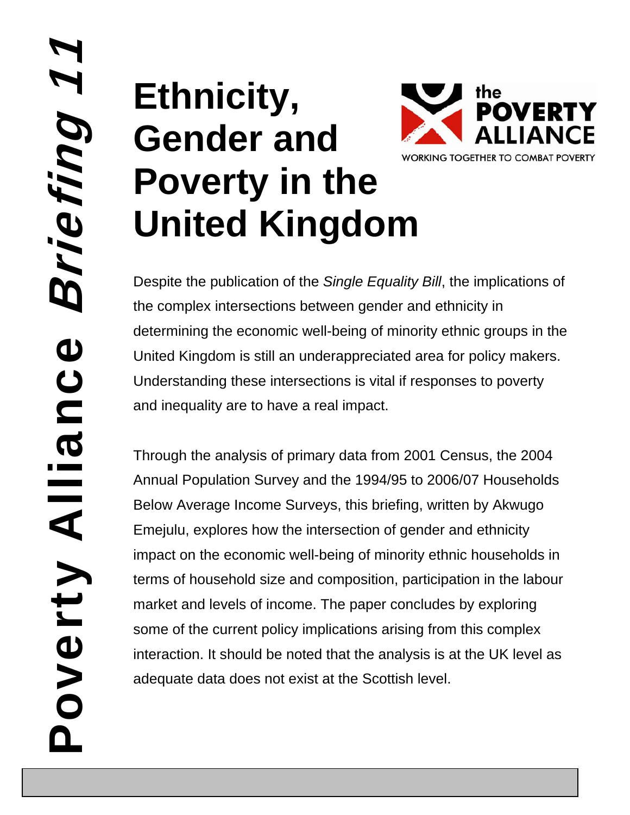# **1** Poverty Alliance Briefing 1 Briefing Poverty Alliance

# **Ethnicity, Gender and Poverty in the United Kingdom**



Despite the publication of the *Single Equality Bill*, the implications of the complex intersections between gender and ethnicity in determining the economic well-being of minority ethnic groups in the United Kingdom is still an underappreciated area for policy makers. Understanding these intersections is vital if responses to poverty and inequality are to have a real impact.

Through the analysis of primary data from 2001 Census, the 2004 Annual Population Survey and the 1994/95 to 2006/07 Households Below Average Income Surveys, this briefing, written by Akwugo Emejulu, explores how the intersection of gender and ethnicity impact on the economic well-being of minority ethnic households in terms of household size and composition, participation in the labour market and levels of income. The paper concludes by exploring some of the current policy implications arising from this complex interaction. It should be noted that the analysis is at the UK level as adequate data does not exist at the Scottish level.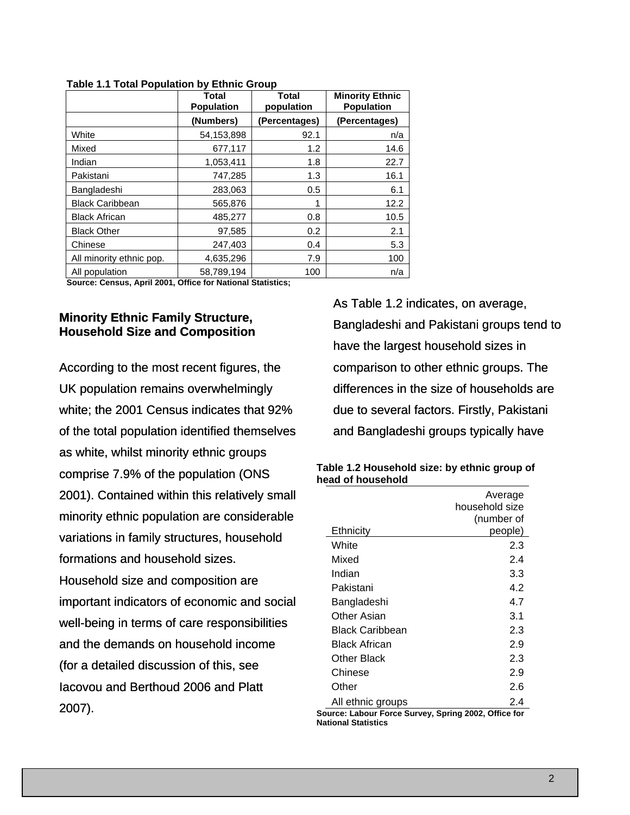|                          | <b>Total</b><br><b>Population</b> | Total<br>population | <b>Minority Ethnic</b><br><b>Population</b> |
|--------------------------|-----------------------------------|---------------------|---------------------------------------------|
|                          | (Numbers)                         | (Percentages)       | (Percentages)                               |
| White                    | 54.153.898                        | 92.1                | n/a                                         |
| Mixed                    | 677,117                           | 1.2                 | 14.6                                        |
| Indian                   | 1,053,411                         | 1.8                 | 22.7                                        |
| Pakistani                | 747,285                           | 1.3                 | 16.1                                        |
| Bangladeshi              | 283,063                           | 0.5                 | 6.1                                         |
| <b>Black Caribbean</b>   | 565,876                           |                     | 12.2                                        |
| <b>Black African</b>     | 485,277                           | 0.8                 | 10.5                                        |
| <b>Black Other</b>       | 97,585                            | 0.2                 | 2.1                                         |
| Chinese                  | 247,403                           | 0.4                 | 5.3                                         |
| All minority ethnic pop. | 4,635,296                         | 7.9                 | 100                                         |
| All population           | 58.789.194                        | 100                 | n/a                                         |

**Table 1.1 Total Population by Ethnic Group** 

**Source: Census, April 2001, Office for National Statistics;** 

# **Minority Ethnic Family Structure, Household Size and Composition**

According to the most recent figures, the UK population remains overwhelmingly white; the 2001 Census indicates that 92% of the total population identified themselves as white, whilst minority ethnic groups comprise 7.9% of the population (ONS 2001). Contained within this relatively small minority ethnic population are considerable variations in family structures, household formations and household sizes. Household size and composition are important indicators of economic and social well-being in terms of care responsibilities and the demands on household income (for a detailed discussion of this, see Iacovou and Berthoud 2006 and Platt 2007).

As Table 1.2 indicates, on average, Bangladeshi and Pakistani groups tend to have the largest household sizes in comparison to other ethnic groups. The differences in the size of households are due to several factors. Firstly, Pakistani and Bangladeshi groups typically have

| Table 1.2 Household size: by ethnic group of |  |
|----------------------------------------------|--|
| head of household                            |  |

|                                                 | Average<br>household size<br>(number of |
|-------------------------------------------------|-----------------------------------------|
| Ethnicity                                       | people)                                 |
| White                                           | 2.3                                     |
| Mixed                                           | 2.4                                     |
| Indian                                          | 3.3                                     |
| Pakistani                                       | 4.2                                     |
| Bangladeshi                                     | 4.7                                     |
| Other Asian                                     | 3.1                                     |
| Black Caribbean                                 | 2.3                                     |
| Black African                                   | 2.9                                     |
| Other Black                                     | 2.3                                     |
| Chinese                                         | 2.9                                     |
| Other                                           | 2.6                                     |
| All ethnic groups<br>$\ldots$ Fassac Count<br>. | 2.4<br>$0.0000$ $0.0000$<br>n.c.<br>٠.  |

**Source: Labour Force Survey, Spring 2002, Office for National Statistics**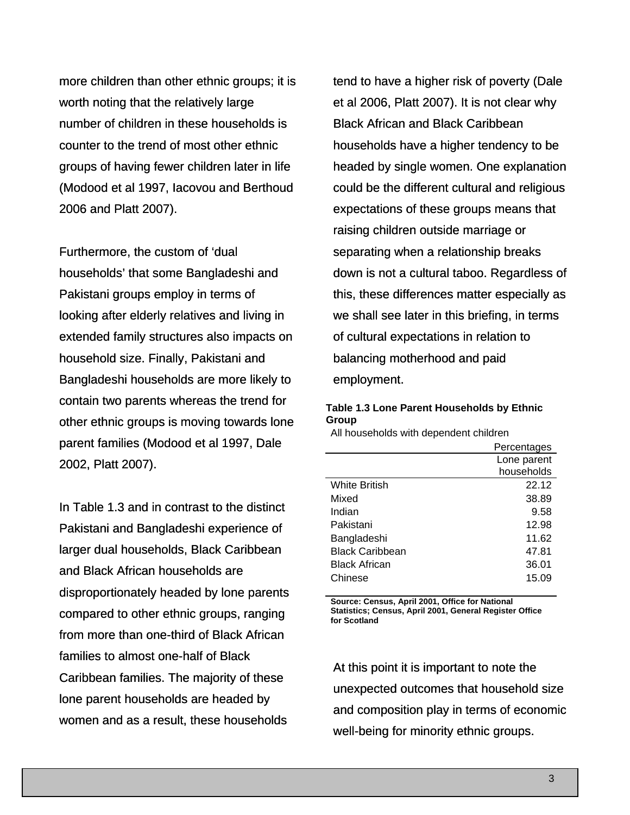more children than other ethnic groups; it is worth noting that the relatively large number of children in these households is counter to the trend of most other ethnic groups of having fewer children later in life (Modood et al 1997, Iacovou and Berthoud 2006 and Platt 2007).

Furthermore, the custom of 'dual households' that some Bangladeshi and Pakistani groups employ in terms of looking after elderly relatives and living in extended family structures also impacts on household size. Finally, Pakistani and Bangladeshi households are more likely to contain two parents whereas the trend for other ethnic groups is moving towards lone parent families (Modood et al 1997, Dale 2002, Platt 2007).

In Table 1.3 and in contrast to the distinct Pakistani and Bangladeshi experience of larger dual households, Black Caribbean and Black African households are disproportionately headed by lone parents compared to other ethnic groups, ranging from more than one-third of Black African families to almost one-half of Black Caribbean families. The majority of these lone parent households are headed by women and as a result, these households

tend to have a higher risk of poverty (Dale et al 2006, Platt 2007). It is not clear why Black African and Black Caribbean households have a higher tendency to be headed by single women. One explanation could be the different cultural and religious expectations of these groups means that raising children outside marriage or separating when a relationship breaks down is not a cultural taboo. Regardless of this, these differences matter especially as we shall see later in this briefing, in terms of cultural expectations in relation to balancing motherhood and paid employment.

### **Table 1.3 Lone Parent Households by Ethnic Group**

All households with dependent children

|                        | Percentages |
|------------------------|-------------|
|                        | Lone parent |
|                        | households  |
| <b>White British</b>   | 22.12       |
| Mixed                  | 38.89       |
| Indian                 | 9.58        |
| Pakistani              | 12.98       |
| Bangladeshi            | 11.62       |
| <b>Black Caribbean</b> | 47.81       |
| <b>Black African</b>   | 36.01       |
| Chinese                | 15.09       |

**Source: Census, April 2001, Office for National Statistics; Census, April 2001, General Register Office for Scotland** 

At this point it is important to note the unexpected outcomes that household size and composition play in terms of economic well-being for minority ethnic groups.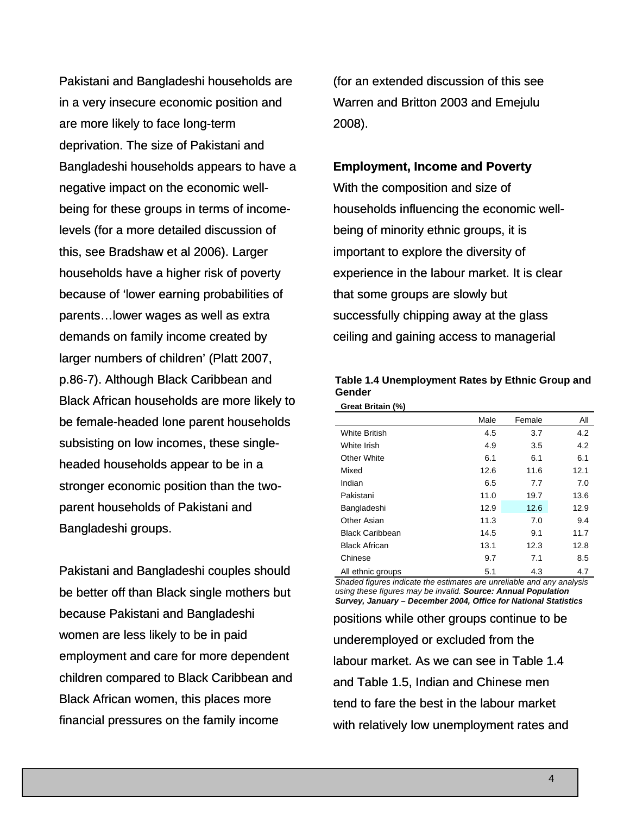Pakistani and Bangladeshi households are in a very insecure economic position and are more likely to face long-term deprivation. The size of Pakistani and Bangladeshi households appears to have a negative impact on the economic wellbeing for these groups in terms of incomelevels (for a more detailed discussion of this, see Bradshaw et al 2006). Larger households have a higher risk of poverty because of 'lower earning probabilities of parents…lower wages as well as extra demands on family income created by larger numbers of children' (Platt 2007, p.86-7). Although Black Caribbean and Black African households are more likely to be female-headed lone parent households subsisting on low incomes, these singleheaded households appear to be in a stronger economic position than the twoparent households of Pakistani and Bangladeshi groups.

Pakistani and Bangladeshi couples should be better off than Black single mothers but because Pakistani and Bangladeshi women are less likely to be in paid employment and care for more dependent children compared to Black Caribbean and Black African women, this places more financial pressures on the family income

(for an extended discussion of this see Warren and Britton 2003 and Emejulu 2008).

### **Employment, Income and Poverty**

With the composition and size of households influencing the economic wellbeing of minority ethnic groups, it is important to explore the diversity of experience in the labour market. It is clear that some groups are slowly but successfully chipping away at the glass ceiling and gaining access to managerial

| Table 1.4 Unemployment Rates by Ethnic Group and |  |
|--------------------------------------------------|--|
| Gender                                           |  |
| <b>Great Britain (%)</b>                         |  |

|                        | Male | Female | All  |
|------------------------|------|--------|------|
| <b>White British</b>   | 4.5  | 3.7    | 4.2  |
| White Irish            | 4.9  | 3.5    | 4.2  |
| Other White            | 6.1  | 6.1    | 6.1  |
| Mixed                  | 12.6 | 11.6   | 12.1 |
| Indian                 | 6.5  | 7.7    | 7.0  |
| Pakistani              | 11.0 | 19.7   | 13.6 |
| Bangladeshi            | 12.9 | 12.6   | 12.9 |
| Other Asian            | 11.3 | 7.0    | 9.4  |
| <b>Black Caribbean</b> | 14.5 | 9.1    | 11.7 |
| <b>Black African</b>   | 13.1 | 12.3   | 12.8 |
| Chinese                | 9.7  | 7.1    | 8.5  |
| All ethnic groups      | 5.1  | 4.3    | 4.7  |

*Shaded figures indicate the estimates are unreliable and any analysis using these figures may be invalid. Source: Annual Population Survey, January – December 2004, Office for National Statistics* 

positions while other groups continue to be underemployed or excluded from the labour market. As we can see in Table 1.4 and Table 1.5, Indian and Chinese men tend to fare the best in the labour market with relatively low unemployment rates and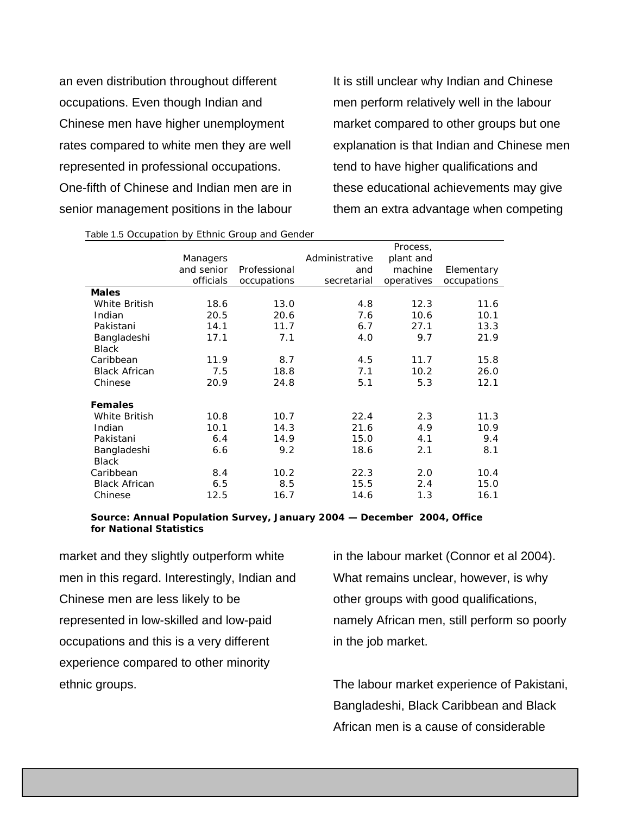an even distribution throughout different occupations. Even though Indian and Chinese men have higher unemployment rates compared to white men they are well represented in professional occupations. One-fifth of Chinese and Indian men are in senior management positions in the labour It is still unclear why Indian and Chinese men perform relatively well in the labour market compared to other groups but one explanation is that Indian and Chinese men tend to have higher qualifications and these educational achievements may give them an extra advantage when competing

|                      |            |              |                | Process,   |             |
|----------------------|------------|--------------|----------------|------------|-------------|
|                      | Managers   |              | Administrative | plant and  |             |
|                      | and senior | Professional | and            | machine    | Elementary  |
|                      | officials  | occupations  | secretarial    | operatives | occupations |
| <b>Males</b>         |            |              |                |            |             |
| <b>White British</b> | 18.6       | 13.0         | 4.8            | 12.3       | 11.6        |
| Indian               | 20.5       | 20.6         | 7.6            | 10.6       | 10.1        |
| Pakistani            | 14.1       | 11.7         | 6.7            | 27.1       | 13.3        |
| Bangladeshi          | 17.1       | 7.1          | 4.0            | 9.7        | 21.9        |
| <b>Black</b>         |            |              |                |            |             |
| Caribbean            | 11.9       | 8.7          | 4.5            | 11.7       | 15.8        |
| <b>Black African</b> | 7.5        | 18.8         | 7.1            | 10.2       | 26.0        |
| Chinese              | 20.9       | 24.8         | 5.1            | 5.3        | 12.1        |
| <b>Females</b>       |            |              |                |            |             |
| White British        | 10.8       | 10.7         | 22.4           | 2.3        | 11.3        |
| Indian               | 10.1       | 14.3         | 21.6           | 4.9        | 10.9        |
| Pakistani            | 6.4        | 14.9         | 15.0           | 4.1        | 9.4         |
| Bangladeshi          | 6.6        | 9.2          | 18.6           | 2.1        | 8.1         |
| <b>Black</b>         |            |              |                |            |             |
| Caribbean            | 8.4        | 10.2         | 22.3           | 2.0        | 10.4        |
| <b>Black African</b> | 6.5        | 8.5          | 15.5           | 2.4        | 15.0        |
| Chinese              | 12.5       | 16.7         | 14.6           | 1.3        | 16.1        |

Table 1.5 Occupation by Ethnic Group and Gender

*Source: Annual Population Survey, January 2004 — December 2004, Office for National Statistics*

market and they slightly outperform white men in this regard. Interestingly, Indian and Chinese men are less likely to be represented in low-skilled and low-paid occupations and this is a very different experience compared to other minority ethnic groups.

in the labour market (Connor et al 2004). What remains unclear, however, is why other groups with good qualifications, namely African men, still perform so poorly in the job market.

The labour market experience of Pakistani, Bangladeshi, Black Caribbean and Black African men is a cause of considerable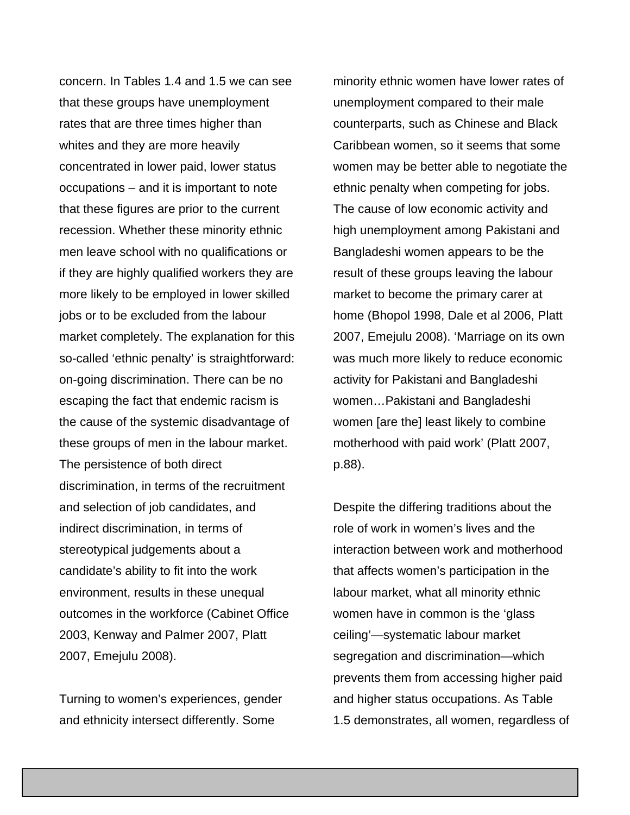concern. In Tables 1.4 and 1.5 we can see that these groups have unemployment rates that are three times higher than whites and they are more heavily concentrated in lower paid, lower status occupations – and it is important to note that these figures are prior to the current recession. Whether these minority ethnic men leave school with no qualifications or if they are highly qualified workers they are more likely to be employed in lower skilled jobs or to be excluded from the labour market completely. The explanation for this so-called 'ethnic penalty' is straightforward: on-going discrimination. There can be no escaping the fact that endemic racism is the cause of the systemic disadvantage of these groups of men in the labour market. The persistence of both direct discrimination, in terms of the recruitment and selection of job candidates, and indirect discrimination, in terms of stereotypical judgements about a candidate's ability to fit into the work environment, results in these unequal outcomes in the workforce (Cabinet Office 2003, Kenway and Palmer 2007, Platt 2007, Emejulu 2008).

Turning to women's experiences, gender and ethnicity intersect differently. Some

minority ethnic women have lower rates of unemployment compared to their male counterparts, such as Chinese and Black Caribbean women, so it seems that some women may be better able to negotiate the ethnic penalty when competing for jobs. The cause of low economic activity and high unemployment among Pakistani and Bangladeshi women appears to be the result of these groups leaving the labour market to become the primary carer at home (Bhopol 1998, Dale et al 2006, Platt 2007, Emejulu 2008). 'Marriage on its own was much more likely to reduce economic activity for Pakistani and Bangladeshi women…Pakistani and Bangladeshi women [are the] least likely to combine motherhood with paid work' (Platt 2007, p.88).

Despite the differing traditions about the role of work in women's lives and the interaction between work and motherhood that affects women's participation in the labour market, what all minority ethnic women have in common is the 'glass ceiling'—systematic labour market segregation and discrimination—which prevents them from accessing higher paid and higher status occupations. As Table 1.5 demonstrates, all women, regardless of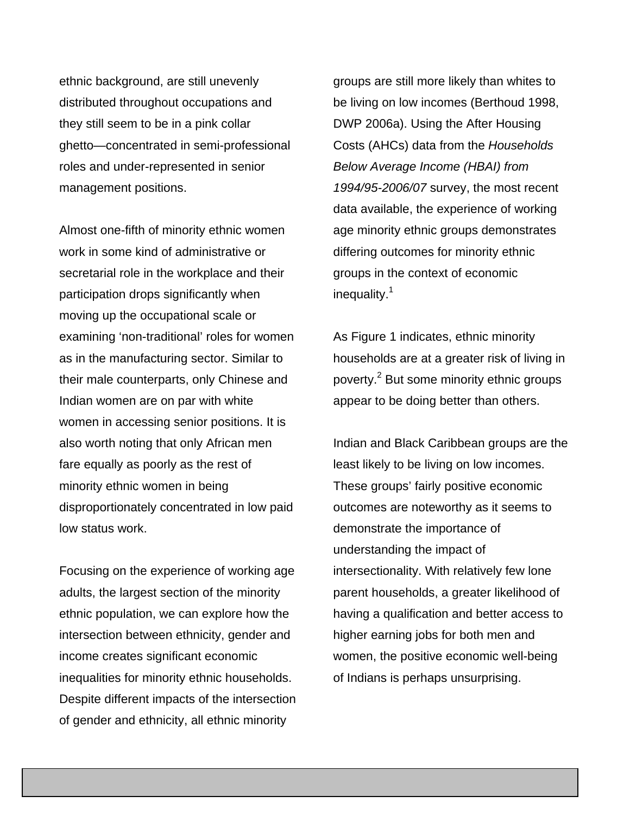ethnic background, are still unevenly distributed throughout occupations and they still seem to be in a pink collar ghetto—concentrated in semi-professional roles and under-represented in senior management positions.

Almost one-fifth of minority ethnic women work in some kind of administrative or secretarial role in the workplace and their participation drops significantly when moving up the occupational scale or examining 'non-traditional' roles for women as in the manufacturing sector. Similar to their male counterparts, only Chinese and Indian women are on par with white women in accessing senior positions. It is also worth noting that only African men fare equally as poorly as the rest of minority ethnic women in being disproportionately concentrated in low paid low status work.

Focusing on the experience of working age adults, the largest section of the minority ethnic population, we can explore how the intersection between ethnicity, gender and income creates significant economic inequalities for minority ethnic households. Despite different impacts of the intersection of gender and ethnicity, all ethnic minority

groups are still more likely than whites to be living on low incomes (Berthoud 1998, DWP 2006a). Using the After Housing Costs (AHCs) data from the *Households Below Average Income (HBAI) from 1994/95-2006/07* survey, the most recent data available, the experience of working age minority ethnic groups demonstrates differing outcomes for minority ethnic groups in the context of economic inequality.<sup>1</sup>

As Figure 1 indicates, ethnic minority households are at a greater risk of living in poverty.<sup>2</sup> But some minority ethnic groups appear to be doing better than others.

Indian and Black Caribbean groups are the least likely to be living on low incomes. These groups' fairly positive economic outcomes are noteworthy as it seems to demonstrate the importance of understanding the impact of intersectionality. With relatively few lone parent households, a greater likelihood of having a qualification and better access to higher earning jobs for both men and women, the positive economic well-being of Indians is perhaps unsurprising.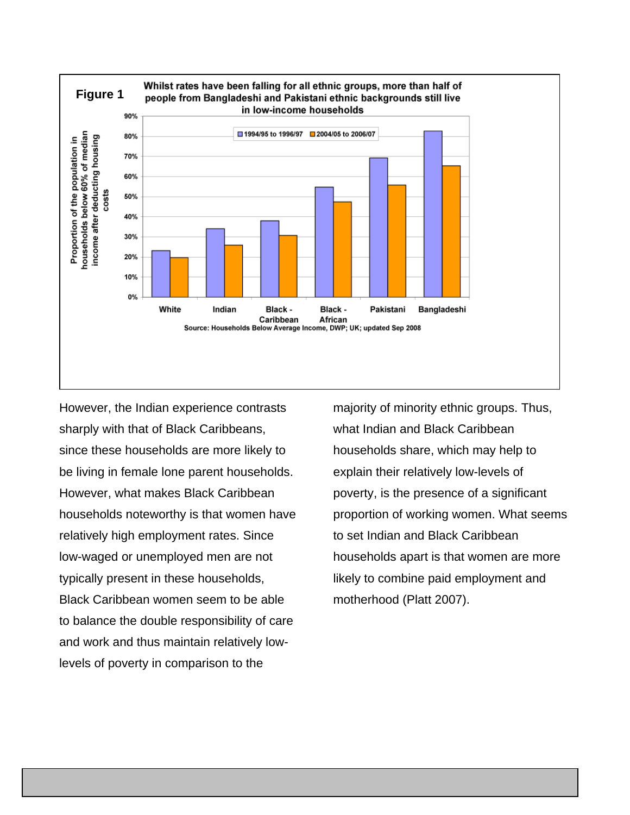

However, the Indian experience contrasts sharply with that of Black Caribbeans, since these households are more likely to be living in female lone parent households. However, what makes Black Caribbean households noteworthy is that women have relatively high employment rates. Since low-waged or unemployed men are not typically present in these households, Black Caribbean women seem to be able to balance the double responsibility of care and work and thus maintain relatively lowlevels of poverty in comparison to the

majority of minority ethnic groups. Thus, what Indian and Black Caribbean households share, which may help to explain their relatively low-levels of poverty, is the presence of a significant proportion of working women. What seems to set Indian and Black Caribbean households apart is that women are more likely to combine paid employment and motherhood (Platt 2007).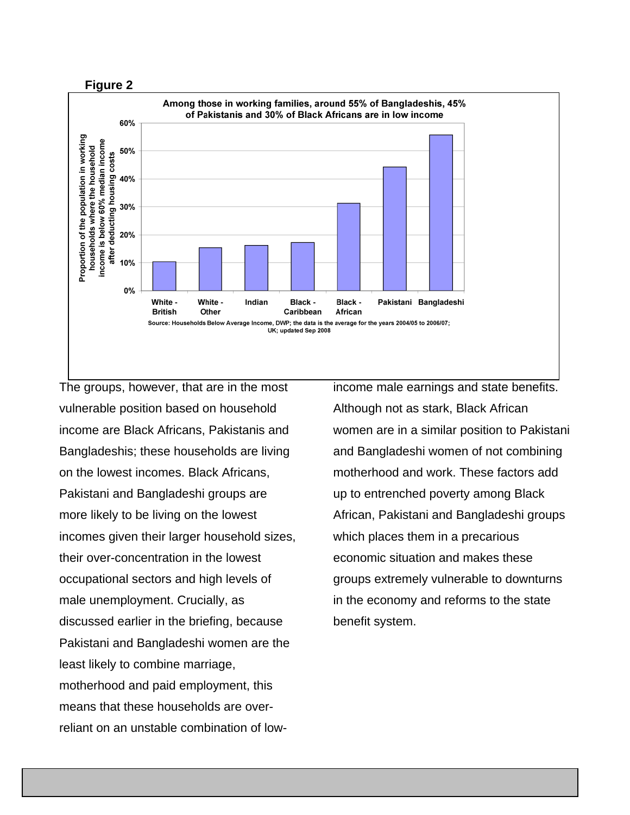



The groups, however, that are in the most vulnerable position based on household income are Black Africans, Pakistanis and Bangladeshis; these households are living on the lowest incomes. Black Africans, Pakistani and Bangladeshi groups are more likely to be living on the lowest incomes given their larger household sizes, their over-concentration in the lowest occupational sectors and high levels of male unemployment. Crucially, as discussed earlier in the briefing, because Pakistani and Bangladeshi women are the least likely to combine marriage, motherhood and paid employment, this means that these households are overreliant on an unstable combination of lowincome male earnings and state benefits. Although not as stark, Black African women are in a similar position to Pakistani and Bangladeshi women of not combining motherhood and work. These factors add up to entrenched poverty among Black African, Pakistani and Bangladeshi groups which places them in a precarious economic situation and makes these groups extremely vulnerable to downturns in the economy and reforms to the state benefit system.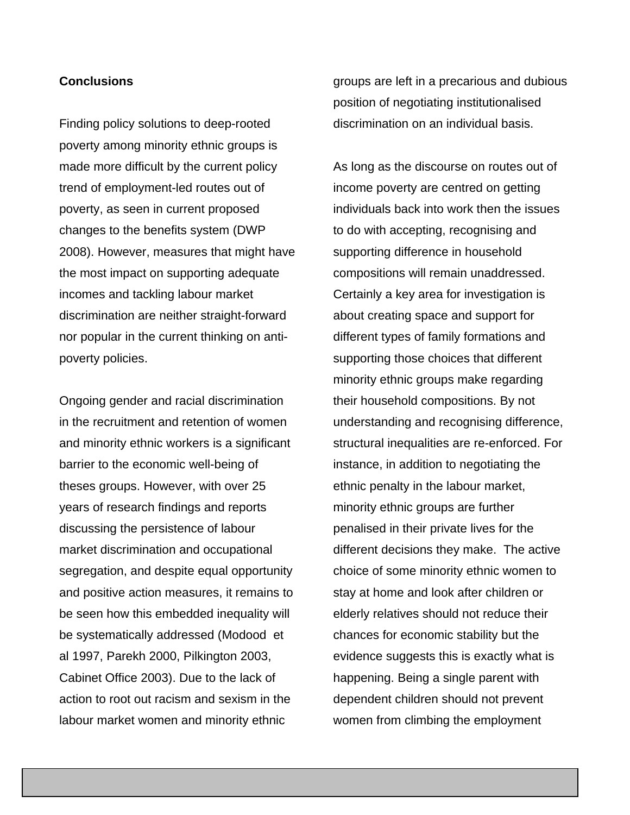## **Conclusions**

Finding policy solutions to deep-rooted poverty among minority ethnic groups is made more difficult by the current policy trend of employment-led routes out of poverty, as seen in current proposed changes to the benefits system (DWP 2008). However, measures that might have the most impact on supporting adequate incomes and tackling labour market discrimination are neither straight-forward nor popular in the current thinking on antipoverty policies.

Ongoing gender and racial discrimination in the recruitment and retention of women and minority ethnic workers is a significant barrier to the economic well-being of theses groups. However, with over 25 years of research findings and reports discussing the persistence of labour market discrimination and occupational segregation, and despite equal opportunity and positive action measures, it remains to be seen how this embedded inequality will be systematically addressed (Modood et al 1997, Parekh 2000, Pilkington 2003, Cabinet Office 2003). Due to the lack of action to root out racism and sexism in the labour market women and minority ethnic

groups are left in a precarious and dubious position of negotiating institutionalised discrimination on an individual basis.

As long as the discourse on routes out of income poverty are centred on getting individuals back into work then the issues to do with accepting, recognising and supporting difference in household compositions will remain unaddressed. Certainly a key area for investigation is about creating space and support for different types of family formations and supporting those choices that different minority ethnic groups make regarding their household compositions. By not understanding and recognising difference, structural inequalities are re-enforced. For instance, in addition to negotiating the ethnic penalty in the labour market, minority ethnic groups are further penalised in their private lives for the different decisions they make. The active choice of some minority ethnic women to stay at home and look after children or elderly relatives should not reduce their chances for economic stability but the evidence suggests this is exactly what is happening. Being a single parent with dependent children should not prevent women from climbing the employment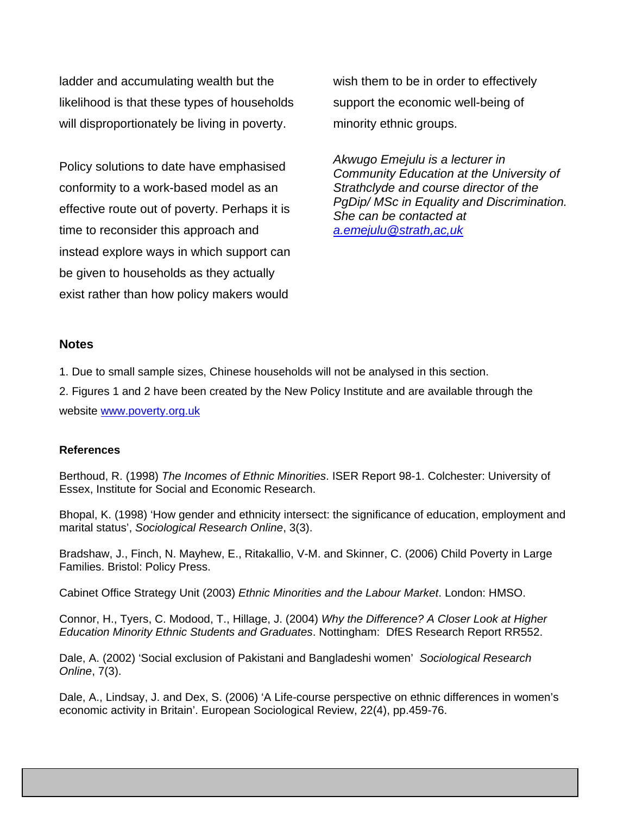ladder and accumulating wealth but the likelihood is that these types of households will disproportionately be living in poverty.

Policy solutions to date have emphasised conformity to a work-based model as an effective route out of poverty. Perhaps it is time to reconsider this approach and instead explore ways in which support can be given to households as they actually exist rather than how policy makers would

wish them to be in order to effectively support the economic well-being of minority ethnic groups.

*Akwugo Emejulu is a lecturer in Community Education at the University of Strathclyde and course director of the PgDip/ MSc in Equality and Discrimination. She can be contacted at [a.emejulu@strath,ac,uk](mailto:a.emejulu@strath,ac,uk)* 

### **Notes**

1. Due to small sample sizes, Chinese households will not be analysed in this section.

2. Figures 1 and 2 have been created by the New Policy Institute and are available through the website [www.poverty.org.uk](http://www.poverty.org.uk/)

### **References**

Berthoud, R. (1998) *The Incomes of Ethnic Minorities*. ISER Report 98-1. Colchester: University of Essex, Institute for Social and Economic Research.

Bhopal, K. (1998) 'How gender and ethnicity intersect: the significance of education, employment and marital status', *Sociological Research Online*, 3(3).

Bradshaw, J., Finch, N. Mayhew, E., Ritakallio, V-M. and Skinner, C. (2006) Child Poverty in Large Families. Bristol: Policy Press.

Cabinet Office Strategy Unit (2003) *Ethnic Minorities and the Labour Market*. London: HMSO.

Connor, H., Tyers, C. Modood, T., Hillage, J. (2004) *Why the Difference? A Closer Look at Higher Education Minority Ethnic Students and Graduates*. Nottingham: DfES Research Report RR552.

Dale, A. (2002) 'Social exclusion of Pakistani and Bangladeshi women' *Sociological Research Online*, 7(3).

Dale, A., Lindsay, J. and Dex, S. (2006) 'A Life-course perspective on ethnic differences in women's economic activity in Britain'. European Sociological Review, 22(4), pp.459-76.